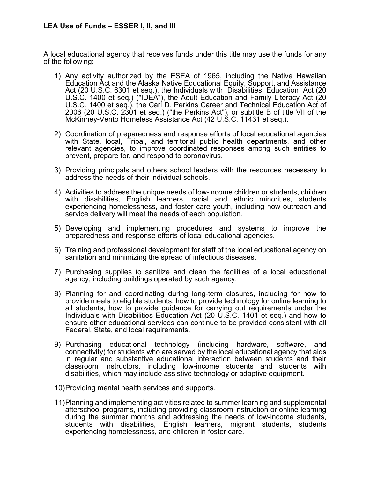## **LEA Use of Funds – ESSER I, II, and III**

A local educational agency that receives funds under this title may use the funds for any of the following:

- 1) Any activity authorized by the ESEA of 1965, including the Native Hawaiian Education Act and the Alaska Native Educational Equity, Support, and Assistance Act (20 U.S.C. 6301 et seq.), the Individuals with Disabilities Education Act (20 U.S.C. 1400 et seq.) ("IDEA"), the Adult Education and Family Literacy Act (20 U.S.C. 1400 et seq.), the Carl D. Perkins Career and Technical Education Act of 2006 (20 U.S.C. 2301 et seq.) ("the Perkins Act"), or subtitle B of title VII of the McKinney-Vento Homeless Assistance Act (42 U.S.C. 11431 et seq.).
- 2) Coordination of preparedness and response efforts of local educational agencies with State, local, Tribal, and territorial public health departments, and other relevant agencies, to improve coordinated responses among such entities to prevent, prepare for, and respond to coronavirus.
- 3) Providing principals and others school leaders with the resources necessary to address the needs of their individual schools.
- 4) Activities to address the unique needs of low-income children or students, children with disabilities, English learners, racial and ethnic minorities, students experiencing homelessness, and foster care youth, including how outreach and service delivery will meet the needs of each population.
- 5) Developing and implementing procedures and systems to improve the preparedness and response efforts of local educational agencies.
- 6) Training and professional development for staff of the local educational agency on sanitation and minimizing the spread of infectious diseases.
- 7) Purchasing supplies to sanitize and clean the facilities of a local educational agency, including buildings operated by such agency.
- 8) Planning for and coordinating during long-term closures, including for how to provide meals to eligible students, how to provide technology for online learning to all students, how to provide guidance for carrying out requirements under the Individuals with Disabilities Education Act (20 U.S.C. 1401 et seq.) and how to ensure other educational services can continue to be provided consistent with all Federal, State, and local requirements.
- 9) Purchasing educational technology (including hardware, software, and connectivity) for students who are served by the local educational agency that aids in regular and substantive educational interaction between students and their classroom instructors, including low-income students and students with disabilities, which may include assistive technology or adaptive equipment.
- 10)Providing mental health services and supports.
- 11)Planning and implementing activities related to summer learning and supplemental afterschool programs, including providing classroom instruction or online learning during the summer months and addressing the needs of low-income students, students with disabilities, English learners, migrant students, students experiencing homelessness, and children in foster care.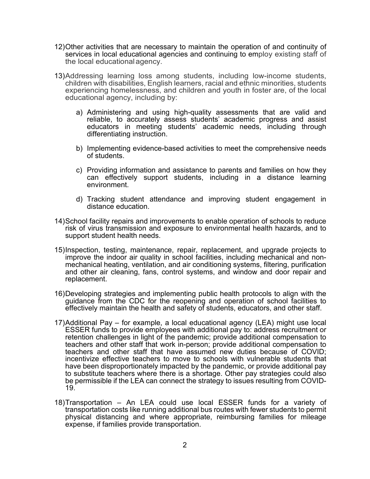- 12)Other activities that are necessary to maintain the operation of and continuity of services in local educational agencies and continuing to employ existing staff of the local educationalagency.
- 13)Addressing learning loss among students, including low-income students, children with disabilities, English learners, racial and ethnic minorities, students experiencing homelessness, and children and youth in foster are, of the local educational agency, including by:
	- a) Administering and using high-quality assessments that are valid and reliable, to accurately assess students' academic progress and assist educators in meeting students' academic needs, including through differentiating instruction.
	- b) Implementing evidence-based activities to meet the comprehensive needs of students.
	- c) Providing information and assistance to parents and families on how they can effectively support students, including in a distance learning environment.
	- d) Tracking student attendance and improving student engagement in distance education.
- 14)School facility repairs and improvements to enable operation of schools to reduce risk of virus transmission and exposure to environmental health hazards, and to support student health needs.
- 15)Inspection, testing, maintenance, repair, replacement, and upgrade projects to improve the indoor air quality in school facilities, including mechanical and nonmechanical heating, ventilation, and air conditioning systems, filtering, purification and other air cleaning, fans, control systems, and window and door repair and replacement.
- 16)Developing strategies and implementing public health protocols to align with the guidance from the CDC for the reopening and operation of school facilities to effectively maintain the health and safety of students, educators, and other staff.
- 17)Additional Pay for example, a local educational agency (LEA) might use local ESSER funds to provide employees with additional pay to: address recruitment or retention challenges in light of the pandemic; provide additional compensation to teachers and other staff that work in-person; provide additional compensation to teachers and other staff that have assumed new duties because of COVID; incentivize effective teachers to move to schools with vulnerable students that have been disproportionately impacted by the pandemic, or provide additional pay to substitute teachers where there is a shortage. Other pay strategies could also be permissible if the LEA can connect the strategy to issues resulting from COVID- 19.
- 18)Transportation An LEA could use local ESSER funds for a variety of transportation costs like running additional bus routes with fewer students to permit physical distancing and where appropriate, reimbursing families for mileage expense, if families provide transportation.